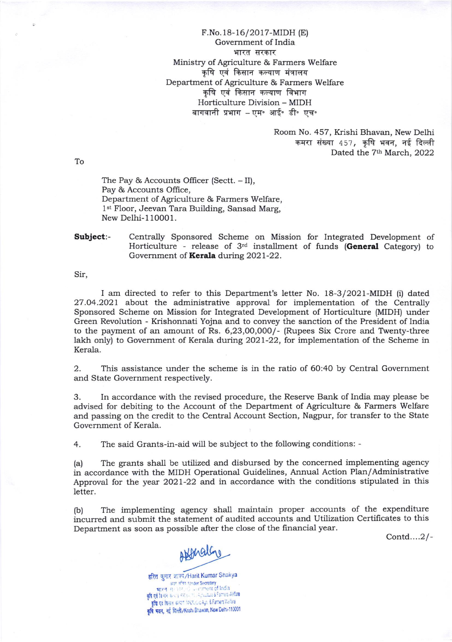F.No. 18- 16/20 17-MIDH (E) Government of India भारत सरकार Ministry of Agriculture & Farmers Welfare कृषि एवं किसान कल्याण मंत्रालय Department of Agriculture & Farmers Welfare कृषि एवं किसान कल्याण विभाग Horticulture Division - MIDH बागवानी प्रभाग - एम॰ आई॰ डी॰ एच॰

> Room No. 457, Krishi Bhavan, New Delhi कमरा संख्या 457, कृषि भवन, नई दिल्ली Dated the 7<sup>th</sup> March, 2022

To

The Pay & Accounts Officer (Sectt. - II), Pay & Accounts Office, Department of Agriculture & Farmers Welfare, 1<sup>st</sup> Floor, Jeevan Tara Building, Sansad Marg, New Delhi- 1 10001.

Subject:- Centrally Sponsored Scheme on Mission for Integrated Development of Horticulture - release of  $3<sup>rd</sup>$  installment of funds (General Category) to Government of Kerala during 2021-22.

Sir,

I am directed to refer to this Department's letter No. 18-3/2021-MIDH (i) dated 27.04.2021 about the administrative approval for implementation of the Centrally Sponsored Scheme on Mission for Integrated Development of Horticulture (MIDH) under Green Revolution - Krishonnati Yojna and to convey the sanction of the President of India to the payment of an amount of Rs.  $6,23,00,000/$ - (Rupees Six Crore and Twenty-three lakh only) to Government of Kerala during 2021-22, for implementation of the Scheme in Kerala.

2. This assistance under the scheme is in the ratio of 6O:40 by Central Government and State Government respectively.

3. In accordance with the revised procedure, the Reserve Bank of India may please be advised for debiting to the Account of the Department of Agriculture & Farmers Welfare and passing on the credit to the Central Account Section, Nagpur, for transfer to the State Government of Kerala.

4. The said Grants-in-aid will be subject to the following conditions: -

(a) The grants shall be utilized and disbursed by the concerned implementing agency in accordance with the MIDH Operational Guidelines, Annual Action Plan/Administrative Approval for the year 2O2l-22 and in accordance with the conditions stipulated in this letter.

(b) The implementing agency shall maintain proper accounts of the expenditure incurred and submit the statement of audited accounts and Utilization Certificates to this Department as soon as possible after the close of the financial year.

Contd....2/-

Abbrathy

हरित कुमार शाक्य/Harit Kumar Shakya<br>असं संकलाका Secretary ्व्यास्था whoer secretary<br>भारतः सम्भारतः स्वताताent of India कृषि एवं किसान कन्याण विश्वास/Dic Agn. & Farmers Welfare कृषि भवन, नई दिल्ली/Knshi Bhawan, New Delhi-110001